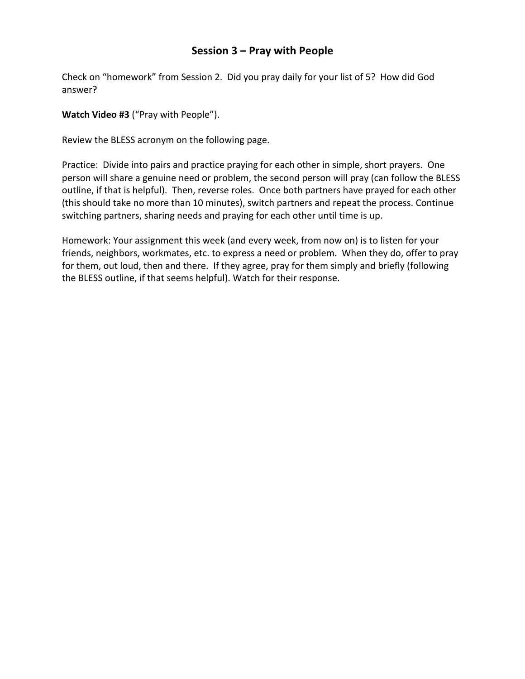## **Session 3 – Pray with People**

Check on "homework" from Session 2. Did you pray daily for your list of 5? How did God answer?

**Watch Video #3** ("Pray with People").

Review the BLESS acronym on the following page.

Practice: Divide into pairs and practice praying for each other in simple, short prayers. One person will share a genuine need or problem, the second person will pray (can follow the BLESS outline, if that is helpful). Then, reverse roles. Once both partners have prayed for each other (this should take no more than 10 minutes), switch partners and repeat the process. Continue switching partners, sharing needs and praying for each other until time is up.

Homework: Your assignment this week (and every week, from now on) is to listen for your friends, neighbors, workmates, etc. to express a need or problem. When they do, offer to pray for them, out loud, then and there. If they agree, pray for them simply and briefly (following the BLESS outline, if that seems helpful). Watch for their response.